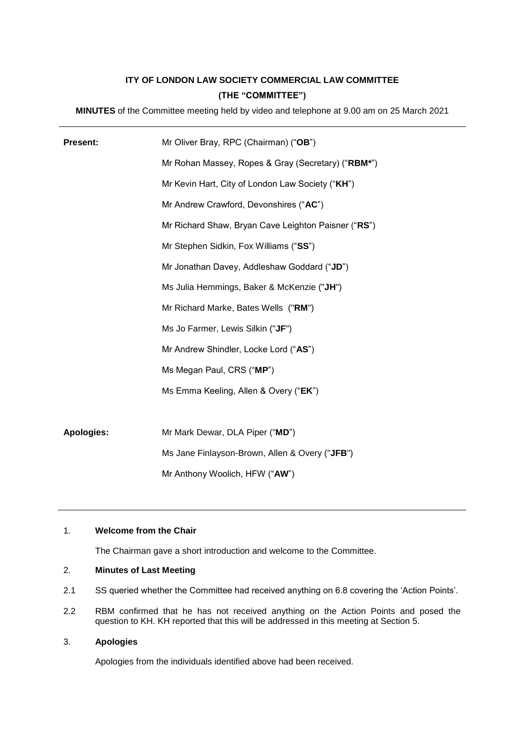# **ITY OF LONDON LAW SOCIETY COMMERCIAL LAW COMMITTEE (THE "COMMITTEE")**

**MINUTES** of the Committee meeting held by video and telephone at 9.00 am on 25 March 2021

| <b>Present:</b>   | Mr Oliver Bray, RPC (Chairman) ("OB")               |
|-------------------|-----------------------------------------------------|
|                   | Mr Rohan Massey, Ropes & Gray (Secretary) ("RBM*")  |
|                   | Mr Kevin Hart, City of London Law Society ("KH")    |
|                   | Mr Andrew Crawford, Devonshires ("AC")              |
|                   | Mr Richard Shaw, Bryan Cave Leighton Paisner ("RS") |
|                   | Mr Stephen Sidkin, Fox Williams ("SS")              |
|                   | Mr Jonathan Davey, Addleshaw Goddard ("JD")         |
|                   | Ms Julia Hemmings, Baker & McKenzie ("JH")          |
|                   | Mr Richard Marke, Bates Wells ("RM")                |
|                   | Ms Jo Farmer, Lewis Silkin ("JF")                   |
|                   | Mr Andrew Shindler, Locke Lord ("AS")               |
|                   | Ms Megan Paul, CRS ("MP")                           |
|                   | Ms Emma Keeling, Allen & Overy ("EK")               |
|                   |                                                     |
| <b>Apologies:</b> | Mr Mark Dewar, DLA Piper ("MD")                     |
|                   | Ms Jane Finlayson-Brown, Allen & Overy ("JFB")      |
|                   | Mr Anthony Woolich, HFW ("AW")                      |

## 1. **Welcome from the Chair**

The Chairman gave a short introduction and welcome to the Committee.

## 2. **Minutes of Last Meeting**

- 2.1 SS queried whether the Committee had received anything on 6.8 covering the 'Action Points'.
- 2.2 RBM confirmed that he has not received anything on the Action Points and posed the question to KH. KH reported that this will be addressed in this meeting at Section 5.

# 3. **Apologies**

Apologies from the individuals identified above had been received.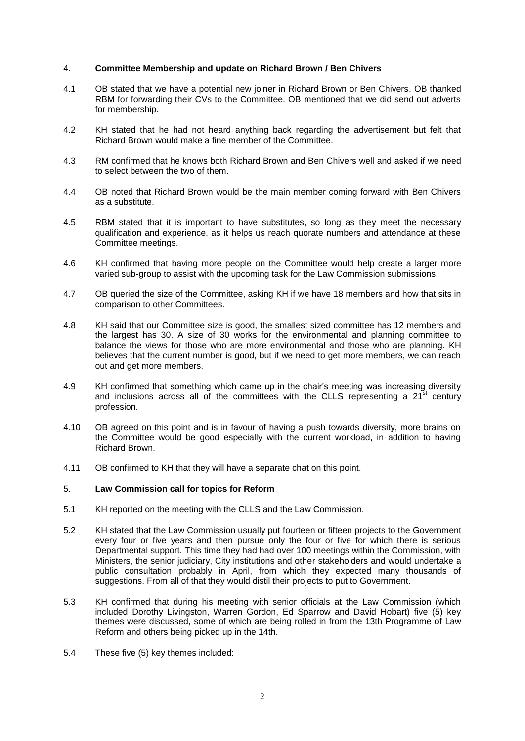#### 4. **Committee Membership and update on Richard Brown / Ben Chivers**

- 4.1 OB stated that we have a potential new joiner in Richard Brown or Ben Chivers. OB thanked RBM for forwarding their CVs to the Committee. OB mentioned that we did send out adverts for membership.
- 4.2 KH stated that he had not heard anything back regarding the advertisement but felt that Richard Brown would make a fine member of the Committee.
- 4.3 RM confirmed that he knows both Richard Brown and Ben Chivers well and asked if we need to select between the two of them.
- 4.4 OB noted that Richard Brown would be the main member coming forward with Ben Chivers as a substitute.
- 4.5 RBM stated that it is important to have substitutes, so long as they meet the necessary qualification and experience, as it helps us reach quorate numbers and attendance at these Committee meetings.
- 4.6 KH confirmed that having more people on the Committee would help create a larger more varied sub-group to assist with the upcoming task for the Law Commission submissions.
- 4.7 OB queried the size of the Committee, asking KH if we have 18 members and how that sits in comparison to other Committees.
- 4.8 KH said that our Committee size is good, the smallest sized committee has 12 members and the largest has 30. A size of 30 works for the environmental and planning committee to balance the views for those who are more environmental and those who are planning. KH believes that the current number is good, but if we need to get more members, we can reach out and get more members.
- 4.9 KH confirmed that something which came up in the chair's meeting was increasing diversity and inclusions across all of the committees with the CLLS representing a  $21<sup>st</sup>$  century profession.
- 4.10 OB agreed on this point and is in favour of having a push towards diversity, more brains on the Committee would be good especially with the current workload, in addition to having Richard Brown.
- 4.11 OB confirmed to KH that they will have a separate chat on this point.

#### 5. **Law Commission call for topics for Reform**

- 5.1 KH reported on the meeting with the CLLS and the Law Commission.
- 5.2 KH stated that the Law Commission usually put fourteen or fifteen projects to the Government every four or five years and then pursue only the four or five for which there is serious Departmental support. This time they had had over 100 meetings within the Commission, with Ministers, the senior judiciary, City institutions and other stakeholders and would undertake a public consultation probably in April, from which they expected many thousands of suggestions. From all of that they would distil their projects to put to Government.
- 5.3 KH confirmed that during his meeting with senior officials at the Law Commission (which included Dorothy Livingston, Warren Gordon, Ed Sparrow and David Hobart) five (5) key themes were discussed, some of which are being rolled in from the 13th Programme of Law Reform and others being picked up in the 14th.
- 5.4 These five (5) key themes included: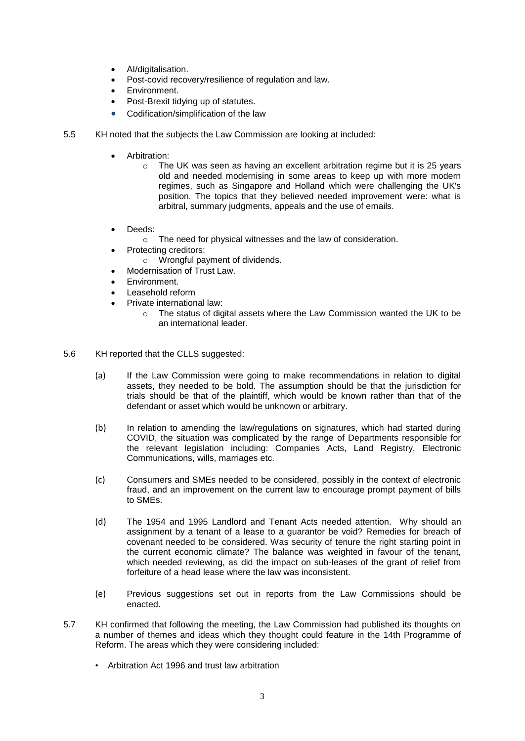- Al/digitalisation.
- Post-covid recovery/resilience of regulation and law.
- Environment.
- Post-Brexit tidying up of statutes.
- Codification/simplification of the law
- 5.5 KH noted that the subjects the Law Commission are looking at included:
	- Arbitration:
		- $\circ$  The UK was seen as having an excellent arbitration regime but it is 25 years old and needed modernising in some areas to keep up with more modern regimes, such as Singapore and Holland which were challenging the UK's position. The topics that they believed needed improvement were: what is arbitral, summary judgments, appeals and the use of emails.
	- Deeds:
		- o The need for physical witnesses and the law of consideration.
	- Protecting creditors:
	- o Wrongful payment of dividends.
	- Modernisation of Trust Law.
	- Environment.
	- Leasehold reform
	- Private international law:
		- o The status of digital assets where the Law Commission wanted the UK to be an international leader.
- 5.6 KH reported that the CLLS suggested:
	- (a) If the Law Commission were going to make recommendations in relation to digital assets, they needed to be bold. The assumption should be that the jurisdiction for trials should be that of the plaintiff, which would be known rather than that of the defendant or asset which would be unknown or arbitrary.
	- (b) In relation to amending the law/regulations on signatures, which had started during COVID, the situation was complicated by the range of Departments responsible for the relevant legislation including: Companies Acts, Land Registry, Electronic Communications, wills, marriages etc.
	- (c) Consumers and SMEs needed to be considered, possibly in the context of electronic fraud, and an improvement on the current law to encourage prompt payment of bills to SMEs.
	- (d) The 1954 and 1995 Landlord and Tenant Acts needed attention. Why should an assignment by a tenant of a lease to a guarantor be void? Remedies for breach of covenant needed to be considered. Was security of tenure the right starting point in the current economic climate? The balance was weighted in favour of the tenant, which needed reviewing, as did the impact on sub-leases of the grant of relief from forfeiture of a head lease where the law was inconsistent.
	- (e) Previous suggestions set out in reports from the Law Commissions should be enacted.
- 5.7 KH confirmed that following the meeting, the Law Commission had published its thoughts on a number of themes and ideas which they thought could feature in the 14th Programme of Reform. The areas which they were considering included:
	- Arbitration Act 1996 and trust law arbitration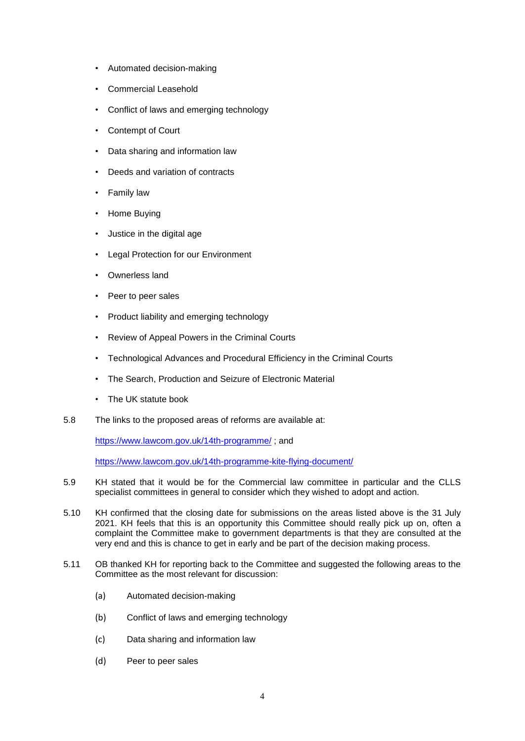- Automated decision-making
- Commercial Leasehold
- Conflict of laws and emerging technology
- Contempt of Court
- Data sharing and information law
- Deeds and variation of contracts
- Family law
- Home Buying
- Justice in the digital age
- Legal Protection for our Environment
- Ownerless land
- Peer to peer sales
- Product liability and emerging technology
- Review of Appeal Powers in the Criminal Courts
- Technological Advances and Procedural Efficiency in the Criminal Courts
- The Search, Production and Seizure of Electronic Material
- The UK statute book
- 5.8 The links to the proposed areas of reforms are available at:

<https://www.lawcom.gov.uk/14th-programme/> ; and

<https://www.lawcom.gov.uk/14th-programme-kite-flying-document/>

- 5.9 KH stated that it would be for the Commercial law committee in particular and the CLLS specialist committees in general to consider which they wished to adopt and action.
- 5.10 KH confirmed that the closing date for submissions on the areas listed above is the 31 July 2021. KH feels that this is an opportunity this Committee should really pick up on, often a complaint the Committee make to government departments is that they are consulted at the very end and this is chance to get in early and be part of the decision making process.
- 5.11 OB thanked KH for reporting back to the Committee and suggested the following areas to the Committee as the most relevant for discussion:
	- (a) Automated decision-making
	- (b) Conflict of laws and emerging technology
	- (c) Data sharing and information law
	- (d) Peer to peer sales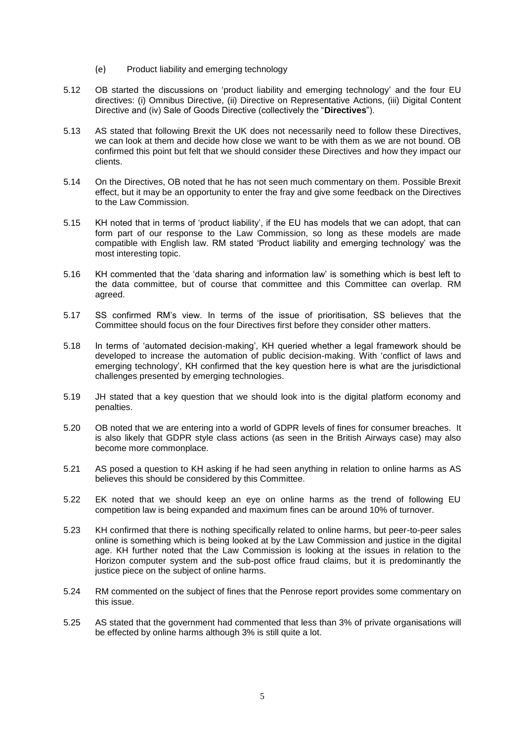- (e) Product liability and emerging technology
- 5.12 OB started the discussions on 'product liability and emerging technology' and the four EU directives: (i) Omnibus Directive, (ii) Directive on Representative Actions, (iii) Digital Content Directive and (iv) Sale of Goods Directive (collectively the "**Directives**").
- 5.13 AS stated that following Brexit the UK does not necessarily need to follow these Directives, we can look at them and decide how close we want to be with them as we are not bound. OB confirmed this point but felt that we should consider these Directives and how they impact our clients.
- 5.14 On the Directives, OB noted that he has not seen much commentary on them. Possible Brexit effect, but it may be an opportunity to enter the fray and give some feedback on the Directives to the Law Commission.
- 5.15 KH noted that in terms of 'product liability', if the EU has models that we can adopt, that can form part of our response to the Law Commission, so long as these models are made compatible with English law. RM stated 'Product liability and emerging technology' was the most interesting topic.
- 5.16 KH commented that the 'data sharing and information law' is something which is best left to the data committee, but of course that committee and this Committee can overlap. RM agreed.
- 5.17 SS confirmed RM's view. In terms of the issue of prioritisation, SS believes that the Committee should focus on the four Directives first before they consider other matters.
- 5.18 In terms of 'automated decision-making', KH queried whether a legal framework should be developed to increase the automation of public decision-making. With 'conflict of laws and emerging technology', KH confirmed that the key question here is what are the jurisdictional challenges presented by emerging technologies.
- 5.19 JH stated that a key question that we should look into is the digital platform economy and penalties.
- 5.20 OB noted that we are entering into a world of GDPR levels of fines for consumer breaches. It is also likely that GDPR style class actions (as seen in the British Airways case) may also become more commonplace.
- 5.21 AS posed a question to KH asking if he had seen anything in relation to online harms as AS believes this should be considered by this Committee.
- 5.22 EK noted that we should keep an eye on online harms as the trend of following EU competition law is being expanded and maximum fines can be around 10% of turnover.
- 5.23 KH confirmed that there is nothing specifically related to online harms, but peer-to-peer sales online is something which is being looked at by the Law Commission and justice in the digital age. KH further noted that the Law Commission is looking at the issues in relation to the Horizon computer system and the sub-post office fraud claims, but it is predominantly the justice piece on the subject of online harms.
- 5.24 RM commented on the subject of fines that the Penrose report provides some commentary on this issue.
- 5.25 AS stated that the government had commented that less than 3% of private organisations will be effected by online harms although 3% is still quite a lot.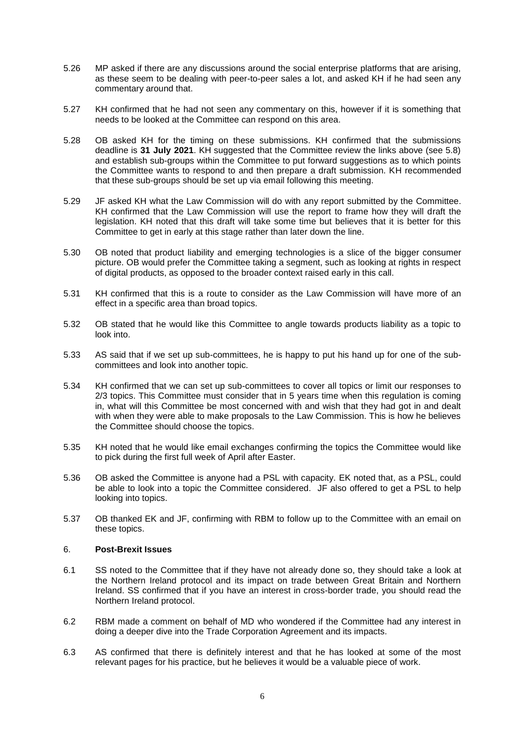- 5.26 MP asked if there are any discussions around the social enterprise platforms that are arising, as these seem to be dealing with peer-to-peer sales a lot, and asked KH if he had seen any commentary around that.
- 5.27 KH confirmed that he had not seen any commentary on this, however if it is something that needs to be looked at the Committee can respond on this area.
- 5.28 OB asked KH for the timing on these submissions. KH confirmed that the submissions deadline is **31 July 2021**. KH suggested that the Committee review the links above (see 5.8) and establish sub-groups within the Committee to put forward suggestions as to which points the Committee wants to respond to and then prepare a draft submission. KH recommended that these sub-groups should be set up via email following this meeting.
- 5.29 JF asked KH what the Law Commission will do with any report submitted by the Committee. KH confirmed that the Law Commission will use the report to frame how they will draft the legislation. KH noted that this draft will take some time but believes that it is better for this Committee to get in early at this stage rather than later down the line.
- 5.30 OB noted that product liability and emerging technologies is a slice of the bigger consumer picture. OB would prefer the Committee taking a segment, such as looking at rights in respect of digital products, as opposed to the broader context raised early in this call.
- 5.31 KH confirmed that this is a route to consider as the Law Commission will have more of an effect in a specific area than broad topics.
- 5.32 OB stated that he would like this Committee to angle towards products liability as a topic to look into.
- 5.33 AS said that if we set up sub-committees, he is happy to put his hand up for one of the subcommittees and look into another topic.
- 5.34 KH confirmed that we can set up sub-committees to cover all topics or limit our responses to 2/3 topics. This Committee must consider that in 5 years time when this regulation is coming in, what will this Committee be most concerned with and wish that they had got in and dealt with when they were able to make proposals to the Law Commission. This is how he believes the Committee should choose the topics.
- 5.35 KH noted that he would like email exchanges confirming the topics the Committee would like to pick during the first full week of April after Easter.
- 5.36 OB asked the Committee is anyone had a PSL with capacity. EK noted that, as a PSL, could be able to look into a topic the Committee considered. JF also offered to get a PSL to help looking into topics.
- 5.37 OB thanked EK and JF, confirming with RBM to follow up to the Committee with an email on these topics.

#### 6. **Post-Brexit Issues**

- 6.1 SS noted to the Committee that if they have not already done so, they should take a look at the Northern Ireland protocol and its impact on trade between Great Britain and Northern Ireland. SS confirmed that if you have an interest in cross-border trade, you should read the Northern Ireland protocol.
- 6.2 RBM made a comment on behalf of MD who wondered if the Committee had any interest in doing a deeper dive into the Trade Corporation Agreement and its impacts.
- 6.3 AS confirmed that there is definitely interest and that he has looked at some of the most relevant pages for his practice, but he believes it would be a valuable piece of work.